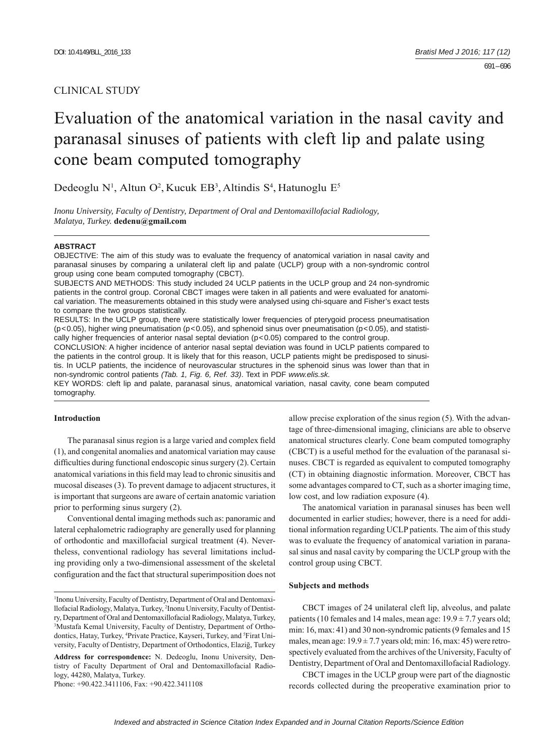# CLINICAL STUDY

# Evaluation of the anatomical variation in the nasal cavity and paranasal sinuses of patients with cleft lip and palate using cone beam computed tomography

Dedeoglu N<sup>1</sup>, Altun O<sup>2</sup>, Kucuk EB<sup>3</sup>, Altindis S<sup>4</sup>, Hatunoglu E<sup>5</sup>

*Inonu University, Faculty of Dentistry, Department of Oral and Dentomaxillofacial Radiology, Malatya, Turkey.* **dedenu@gmail.com**

#### **ABSTRACT**

OBJECTIVE: The aim of this study was to evaluate the frequency of anatomical variation in nasal cavity and paranasal sinuses by comparing a unilateral cleft lip and palate (UCLP) group with a non-syndromic control group using cone beam computed tomography (CBCT).

SUBJECTS AND METHODS: This study included 24 UCLP patients in the UCLP group and 24 non-syndromic patients in the control group. Coronal CBCT images were taken in all patients and were evaluated for anatomical variation. The measurements obtained in this study were analysed using chi-square and Fisher's exact tests to compare the two groups statistically.

RESULTS: In the UCLP group, there were statistically lower frequencies of pterygoid process pneumatisation  $(p<0.05)$ , higher wing pneumatisation  $(p<0.05)$ , and sphenoid sinus over pneumatisation  $(p<0.05)$ , and statistically higher frequencies of anterior nasal septal deviation (p<0.05) compared to the control group.

CONCLUSION: A higher incidence of anterior nasal septal deviation was found in UCLP patients compared to the patients in the control group. It is likely that for this reason, UCLP patients might be predisposed to sinusitis. In UCLP patients, the incidence of neurovascular structures in the sphenoid sinus was lower than that in non-syndromic control patients *(Tab. 1, Fig. 6, Ref. 33)*. Text in PDF *www.elis.sk.*

KEY WORDS: cleft lip and palate, paranasal sinus, anatomical variation, nasal cavity, cone beam computed tomography.

## **Introduction**

The paranasal sinus region is a large varied and complex field (1), and congenital anomalies and anatomical variation may cause difficulties during functional endoscopic sinus surgery (2). Certain anatomical variations in this field may lead to chronic sinusitis and mucosal diseases (3). To prevent damage to adjacent structures, it is important that surgeons are aware of certain anatomic variation prior to performing sinus surgery (2).

Conventional dental imaging methods such as: panoramic and lateral cephalometric radiography are generally used for planning of orthodontic and maxillofacial surgical treatment (4). Nevertheless, conventional radiology has several limitations including providing only a two-dimensional assessment of the skeletal configuration and the fact that structural superimposition does not

**Address for correspondence:** N. Dedeoglu, Inonu University, Dentistry of Faculty Department of Oral and Dentomaxillofacial Radiology, 44280, Malatya, Turkey.

Phone: +90.422.3411106, Fax: +90.422.3411108

allow precise exploration of the sinus region (5). With the advantage of three-dimensional imaging, clinicians are able to observe anatomical structures clearly. Cone beam computed tomography (CBCT) is a useful method for the evaluation of the paranasal sinuses. CBCT is regarded as equivalent to computed tomography (CT) in obtaining diagnostic information. Moreover, CBCT has some advantages compared to CT, such as a shorter imaging time, low cost, and low radiation exposure (4).

The anatomical variation in paranasal sinuses has been well documented in earlier studies; however, there is a need for additional information regarding UCLP patients. The aim of this study was to evaluate the frequency of anatomical variation in paranasal sinus and nasal cavity by comparing the UCLP group with the control group using CBCT.

#### **Subjects and methods**

CBCT images of 24 unilateral cleft lip, alveolus, and palate patients (10 females and 14 males, mean age:  $19.9 \pm 7.7$  years old; min: 16, max: 41) and 30 non-syndromic patients (9 females and 15 males, mean age:  $19.9 \pm 7.7$  years old; min: 16, max: 45) were retrospectively evaluated from the archives of the University, Faculty of Dentistry, Department of Oral and Dentomaxillofacial Radiology.

CBCT images in the UCLP group were part of the diagnostic records collected during the preoperative examination prior to

<sup>1</sup> Inonu University, Faculty of Dentistry, Department of Oral and Dentomaxillofacial Radiology, Malatya, Turkey, 2 Inonu University, Faculty of Dentistry, Department of Oral and Dentomaxillofacial Radiology, Malatya, Turkey, 3 Mustafa Kemal University, Faculty of Dentistry, Department of Orthodontics, Hatay, Turkey, <sup>4</sup>Private Practice, Kayseri, Turkey, and <sup>5</sup>Firat University, Faculty of Dentistry, Department of Orthodontics, Elaziğ, Turkey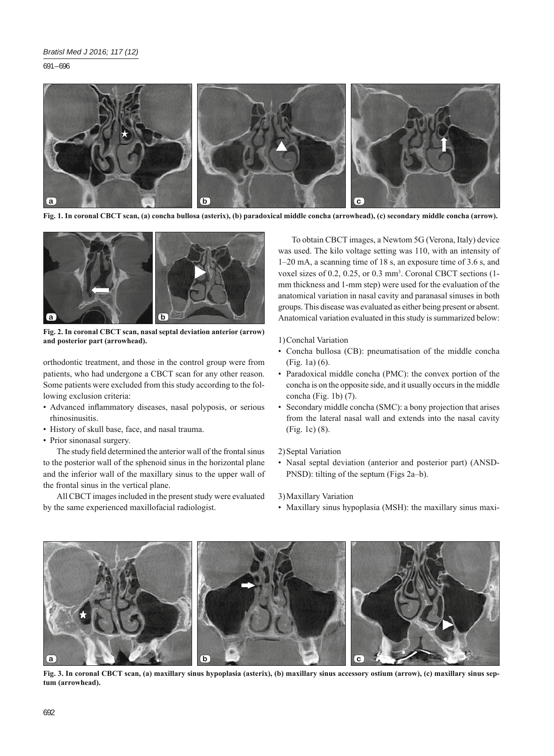691 – 696



**Fig. 1. In coronal CBCT scan, (a) concha bullosa (asterix), (b) paradoxical middle concha (arrowhead), (c) secondary middle concha (arrow).**



**Fig. 2. In coronal CBCT scan, nasal septal deviation anterior (arrow) and posterior part (arrowhead).**

orthodontic treatment, and those in the control group were from patients, who had undergone a CBCT scan for any other reason. Some patients were excluded from this study according to the following exclusion criteria:

- Advanced inflammatory diseases, nasal polyposis, or serious rhinosinusitis.
- History of skull base, face, and nasal trauma.
- Prior sinonasal surgery.

The study field determined the anterior wall of the frontal sinus to the posterior wall of the sphenoid sinus in the horizontal plane and the inferior wall of the maxillary sinus to the upper wall of the frontal sinus in the vertical plane.

All CBCT images included in the present study were evaluated by the same experienced maxillofacial radiologist.

To obtain CBCT images, a Newtom 5G (Verona, Italy) device was used. The kilo voltage setting was 110, with an intensity of 1–20 mA, a scanning time of 18 s, an exposure time of 3.6 s, and voxel sizes of 0.2, 0.25, or 0.3 mm<sup>3</sup>. Coronal CBCT sections (1mm thickness and 1-mm step) were used for the evaluation of the anatomical variation in nasal cavity and paranasal sinuses in both groups. This disease was evaluated as either being present or absent. Anatomical variation evaluated in this study is summarized below:

1) Conchal Variation

- Concha bullosa (CB): pneumatisation of the middle concha (Fig. 1a) (6).
- Paradoxical middle concha (PMC): the convex portion of the concha is on the opposite side, and it usually occurs in the middle concha (Fig. 1b) (7).
- Secondary middle concha (SMC): a bony projection that arises from the lateral nasal wall and extends into the nasal cavity (Fig. 1c) (8).
- 2) Septal Variation
- Nasal septal deviation (anterior and posterior part) (ANSD-PNSD): tilting of the septum (Figs 2a–b).

3) Maxillary Variation

• Maxillary sinus hypoplasia (MSH): the maxillary sinus maxi-



**Fig. 3. In coronal CBCT scan, (a) maxillary sinus hypoplasia (asterix), (b) maxillary sinus accessory ostium (arrow), (c) maxillary sinus septum (arrowhead).**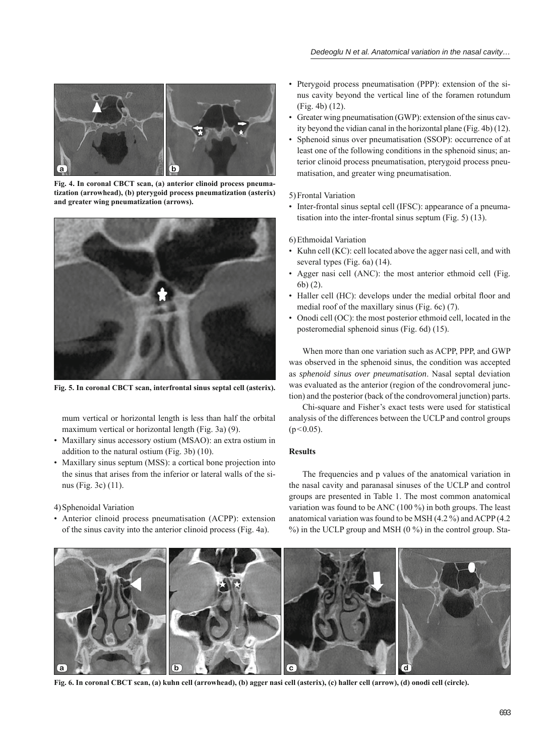

**Fig. 4. In coronal CBCT scan, (a) anterior clinoid process pneumatization (arrowhead), (b) pterygoid process pneumatization (asterix) and greater wing pneumatization (arrows).**

![](_page_2_Picture_3.jpeg)

**Fig. 5. In coronal CBCT scan, interfrontal sinus septal cell (asterix).**

mum vertical or horizontal length is less than half the orbital maximum vertical or horizontal length (Fig. 3a) (9).

- Maxillary sinus accessory ostium (MSAO): an extra ostium in addition to the natural ostium (Fig. 3b) (10).
- Maxillary sinus septum (MSS): a cortical bone projection into the sinus that arises from the inferior or lateral walls of the sinus (Fig. 3c) (11).

4) Sphenoidal Variation

• Anterior clinoid process pneumatisation (ACPP): extension of the sinus cavity into the anterior clinoid process (Fig. 4a).

- Pterygoid process pneumatisation (PPP): extension of the sinus cavity beyond the vertical line of the foramen rotundum (Fig. 4b) (12).
- Greater wing pneumatisation (GWP): extension of the sinus cavity beyond the vidian canal in the horizontal plane (Fig. 4b) (12).
- Sphenoid sinus over pneumatisation (SSOP): occurrence of at least one of the following conditions in the sphenoid sinus; anterior clinoid process pneumatisation, pterygoid process pneumatisation, and greater wing pneumatisation.

## 5) Frontal Variation

• Inter-frontal sinus septal cell (IFSC): appearance of a pneumatisation into the inter-frontal sinus septum (Fig. 5) (13).

6) Ethmoidal Variation

- Kuhn cell (KC): cell located above the agger nasi cell, and with several types (Fig. 6a) (14).
- Agger nasi cell (ANC): the most anterior ethmoid cell (Fig. 6b) (2).
- Haller cell (HC): develops under the medial orbital floor and medial roof of the maxillary sinus (Fig. 6c) (7).
- Onodi cell (OC): the most posterior ethmoid cell, located in the posteromedial sphenoid sinus (Fig. 6d) (15).

When more than one variation such as ACPP, PPP, and GWP was observed in the sphenoid sinus, the condition was accepted as *sphenoid sinus over pneumatisation*. Nasal septal deviation was evaluated as the anterior (region of the condrovomeral junction) and the posterior (back of the condrovomeral junction) parts.

Chi-square and Fisher's exact tests were used for statistical analysis of the differences between the UCLP and control groups  $(p<0.05)$ .

## **Results**

The frequencies and p values of the anatomical variation in the nasal cavity and paranasal sinuses of the UCLP and control groups are presented in Table 1. The most common anatomical variation was found to be ANC (100 %) in both groups. The least anatomical variation was found to be MSH (4.2 %) and ACPP (4.2 %) in the UCLP group and MSH (0 %) in the control group. Sta-

![](_page_2_Figure_24.jpeg)

**Fig. 6. In coronal CBCT scan, (a) kuhn cell (arrowhead), (b) agger nasi cell (asterix), (c) haller cell (arrow), (d) onodi cell (circle).**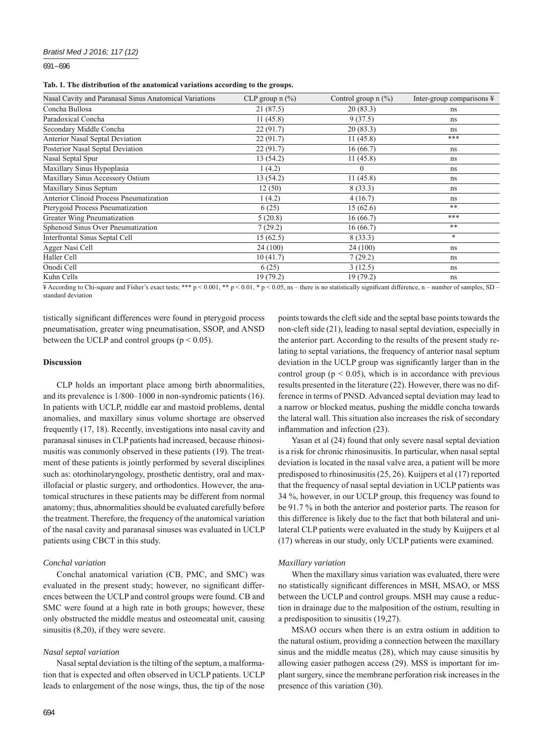691 – 696

|  |  |  |  |  |  | Tab. 1. The distribution of the anatomical variations according to the groups. |  |  |  |  |  |  |
|--|--|--|--|--|--|--------------------------------------------------------------------------------|--|--|--|--|--|--|
|--|--|--|--|--|--|--------------------------------------------------------------------------------|--|--|--|--|--|--|

| Nasal Cavity and Paranasal Sinus Anatomical Variations | CLP group $n$ (%) | Control group $n$ (%) | Inter-group comparisons $\frac{1}{2}$ |
|--------------------------------------------------------|-------------------|-----------------------|---------------------------------------|
| Concha Bullosa                                         | 21 (87.5)         | 20(83.3)              | ns                                    |
| Paradoxical Concha                                     | 11(45.8)          | 9(37.5)               | ns                                    |
| Secondary Middle Concha                                | 22(91.7)          | 20(83.3)              | ns.                                   |
| Anterior Nasal Septal Deviation                        | 22(91.7)          | 11(45.8)              | ***                                   |
| Posterior Nasal Septal Deviation                       | 22(91.7)          | 16(66.7)              | ns.                                   |
| Nasal Septal Spur                                      | 13 (54.2)         | 11(45.8)              | ns                                    |
| Maxillary Sinus Hypoplasia                             | 1(4.2)            | $\theta$              | ns.                                   |
| Maxillary Sinus Accessory Ostium                       | 13 (54.2)         | 11(45.8)              | ns                                    |
| Maxillary Sinus Septum                                 | 12(50)            | 8(33.3)               | ns.                                   |
| <b>Anterior Clinoid Process Pneumatization</b>         | 1(4.2)            | 4(16.7)               | ns.                                   |
| Pterygoid Process Pneumatization                       | 6(25)             | 15(62.6)              | $***$                                 |
| Greater Wing Pneumatization                            | 5(20.8)           | 16(66.7)              | ***                                   |
| Sphenoid Sinus Over Pneumatization                     | 7(29.2)           | 16(66.7)              | $***$                                 |
| <b>Interfrontal Sinus Septal Cell</b>                  | 15(62.5)          | 8(33.3)               | *                                     |
| Agger Nasi Cell                                        | 24 (100)          | 24 (100)              | ns.                                   |
| Haller Cell                                            | 10(41.7)          | 7(29.2)               | ns.                                   |
| Onodi Cell                                             | 6(25)             | 3(12.5)               | ns                                    |
| Kuhn Cells                                             | 19(79.2)          | 19 (79.2)             | ns.                                   |

¥ According to Chi-square and Fisher's exact tests; \*\*\* p < 0.001, \*\* p < 0.01, \* p < 0.05, ns – there is no statistically significant difference, n – number of samples, SD – standard deviation

tistically significant differences were found in pterygoid process pneumatisation, greater wing pneumatisation, SSOP, and ANSD between the UCLP and control groups ( $p < 0.05$ ).

### **Discussion**

CLP holds an important place among birth abnormalities, and its prevalence is 1/800–1000 in non-syndromic patients (16). In patients with UCLP, middle ear and mastoid problems, dental anomalies, and maxillary sinus volume shortage are observed frequently (17, 18). Recently, investigations into nasal cavity and paranasal sinuses in CLP patients had increased, because rhinosinusitis was commonly observed in these patients (19). The treatment of these patients is jointly performed by several disciplines such as: otorhinolaryngology, prosthetic dentistry, oral and maxillofacial or plastic surgery, and orthodontics. However, the anatomical structures in these patients may be different from normal anatomy; thus, abnormalities should be evaluated carefully before the treatment. Therefore, the frequency of the anatomical variation of the nasal cavity and paranasal sinuses was evaluated in UCLP patients using CBCT in this study.

## *Conchal variation*

Conchal anatomical variation (CB, PMC, and SMC) was evaluated in the present study; however, no significant differences between the UCLP and control groups were found. CB and SMC were found at a high rate in both groups; however, these only obstructed the middle meatus and osteomeatal unit, causing sinusitis (8,20), if they were severe.

# *Nasal septal variation*

Nasal septal deviation is the tilting of the septum, a malformation that is expected and often observed in UCLP patients. UCLP leads to enlargement of the nose wings, thus, the tip of the nose

points towards the cleft side and the septal base points towards the non-cleft side (21), leading to nasal septal deviation, especially in the anterior part. According to the results of the present study relating to septal variations, the frequency of anterior nasal septum deviation in the UCLP group was significantly larger than in the control group ( $p < 0.05$ ), which is in accordance with previous results presented in the literature (22). However, there was no difference in terms of PNSD. Advanced septal deviation may lead to a narrow or blocked meatus, pushing the middle concha towards the lateral wall. This situation also increases the risk of secondary inflammation and infection (23).

Yasan et al (24) found that only severe nasal septal deviation is a risk for chronic rhinosinusitis. In particular, when nasal septal deviation is located in the nasal valve area, a patient will be more predisposed to rhinosinusitis (25, 26). Kuijpers et al (17) reported that the frequency of nasal septal deviation in UCLP patients was 34 %, however, in our UCLP group, this frequency was found to be 91.7 % in both the anterior and posterior parts. The reason for this difference is likely due to the fact that both bilateral and unilateral CLP patients were evaluated in the study by Kuijpers et al (17) whereas in our study, only UCLP patients were examined.

### *Maxillary variation*

When the maxillary sinus variation was evaluated, there were no statistically significant differences in MSH, MSAO, or MSS between the UCLP and control groups. MSH may cause a reduction in drainage due to the malposition of the ostium, resulting in a predisposition to sinusitis (19,27).

MSAO occurs when there is an extra ostium in addition to the natural ostium, providing a connection between the maxillary sinus and the middle meatus (28), which may cause sinusitis by allowing easier pathogen access (29). MSS is important for implant surgery, since the membrane perforation risk increases in the presence of this variation (30).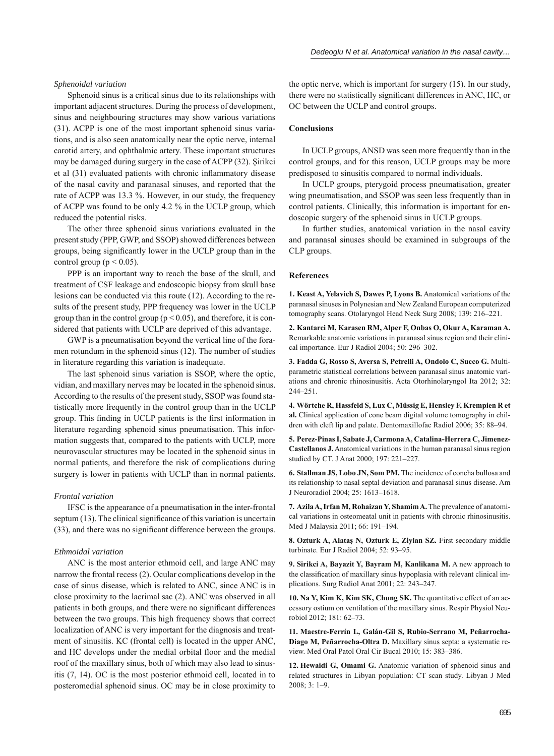## *Sphenoidal variation*

Sphenoid sinus is a critical sinus due to its relationships with important adjacent structures. During the process of development, sinus and neighbouring structures may show various variations (31). ACPP is one of the most important sphenoid sinus variations, and is also seen anatomically near the optic nerve, internal carotid artery, and ophthalmic artery. These important structures may be damaged during surgery in the case of ACPP (32). Şirikci et al (31) evaluated patients with chronic inflammatory disease of the nasal cavity and paranasal sinuses, and reported that the rate of ACPP was 13.3 %. However, in our study, the frequency of ACPP was found to be only 4.2 % in the UCLP group, which reduced the potential risks.

The other three sphenoid sinus variations evaluated in the present study (PPP, GWP, and SSOP) showed differences between groups, being significantly lower in the UCLP group than in the control group ( $p < 0.05$ ).

PPP is an important way to reach the base of the skull, and treatment of CSF leakage and endoscopic biopsy from skull base lesions can be conducted via this route (12). According to the results of the present study, PPP frequency was lower in the UCLP group than in the control group ( $p < 0.05$ ), and therefore, it is considered that patients with UCLP are deprived of this advantage.

GWP is a pneumatisation beyond the vertical line of the foramen rotundum in the sphenoid sinus (12). The number of studies in literature regarding this variation is inadequate.

The last sphenoid sinus variation is SSOP, where the optic, vidian, and maxillary nerves may be located in the sphenoid sinus. According to the results of the present study, SSOP was found statistically more frequently in the control group than in the UCLP group. This finding in UCLP patients is the first information in literature regarding sphenoid sinus pneumatisation. This information suggests that, compared to the patients with UCLP, more neurovascular structures may be located in the sphenoid sinus in normal patients, and therefore the risk of complications during surgery is lower in patients with UCLP than in normal patients.

#### *Frontal variation*

IFSC is the appearance of a pneumatisation in the inter-frontal septum  $(13)$ . The clinical significance of this variation is uncertain (33), and there was no significant difference between the groups.

## *Ethmoidal variation*

ANC is the most anterior ethmoid cell, and large ANC may narrow the frontal recess (2). Ocular complications develop in the case of sinus disease, which is related to ANC, since ANC is in close proximity to the lacrimal sac (2). ANC was observed in all patients in both groups, and there were no significant differences between the two groups. This high frequency shows that correct localization of ANC is very important for the diagnosis and treatment of sinusitis. KC (frontal cell) is located in the upper ANC, and HC develops under the medial orbital floor and the medial roof of the maxillary sinus, both of which may also lead to sinusitis (7, 14). OC is the most posterior ethmoid cell, located in to posteromedial sphenoid sinus. OC may be in close proximity to

the optic nerve, which is important for surgery (15). In our study, there were no statistically significant differences in ANC, HC, or OC between the UCLP and control groups.

# **Conclusions**

In UCLP groups, ANSD was seen more frequently than in the control groups, and for this reason, UCLP groups may be more predisposed to sinusitis compared to normal individuals.

In UCLP groups, pterygoid process pneumatisation, greater wing pneumatisation, and SSOP was seen less frequently than in control patients. Clinically, this information is important for endoscopic surgery of the sphenoid sinus in UCLP groups.

In further studies, anatomical variation in the nasal cavity and paranasal sinuses should be examined in subgroups of the CLP groups.

#### **References**

**1. Keast A, Yelavich S, Dawes P, Lyons B.** Anatomical variations of the paranasal sinuses in Polynesian and New Zealand European computerized tomography scans. Otolaryngol Head Neck Surg 2008; 139: 216–221.

**2. Kantarci M, Karasen RM, Alper F, Onbas O, Okur A, Karaman A.** Remarkable anatomic variations in paranasal sinus region and their clinical importance. Eur J Radiol 2004; 50: 296–302.

**3. Fadda G, Rosso S, Aversa S, Petrelli A, Ondolo C, Succo G.** Multiparametric statistical correlations between paranasal sinus anatomic variations and chronic rhinosinusitis. Acta Otorhinolaryngol Ita 2012; 32: 244–251.

**4. Wörtche R , Hassfeld S, Lux C, Müssig E, Hensley F, Krempien R et al.** Clinical application of cone beam digital volume tomography in children with cleft lip and palate. Dentomaxillofac Radiol 2006; 35: 88–94.

**5. Perez-Pinas I, Sabate J, Carmona A, Catalina-Herrera C, Jimenez-Castellanos J.** Anatomical variations in the human paranasal sinus region studied by CT. J Anat 2000; 197: 221–227.

**6. Stallman JS , Lobo JN, Som PM.** The incidence of concha bullosa and its relationship to nasal septal deviation and paranasal sinus disease. Am J Neuroradiol 2004; 25: 1613–1618.

**7. Azila A, Ir fan M, Rohaizan Y, Shamim A.** The prevalence of anatomical variations in osteomeatal unit in patients with chronic rhinosinusitis. Med J Malaysia 2011; 66: 191–194.

8. Ozturk A, Alatas N, Ozturk E, Ziylan SZ. First secondary middle turbinate. Eur J Radiol 2004; 52: 93–95.

9. Sirikci A, Bayazit Y, Bayram M, Kanlikana M. A new approach to the classification of maxillary sinus hypoplasia with relevant clinical implications. Surg Radiol Anat 2001; 22: 243–247.

10. Na Y, Kim K, Kim SK, Chung SK. The quantitative effect of an accessory ostium on ventilation of the maxillary sinus. Respir Physiol Neurobiol 2012; 181: 62–73.

**11. Maestre-Ferrín L, Galán-Gil S, Rubio-Serrano M, Peñarrocha-Diago M, Peñarrocha-Oltra D.** Maxillary sinus septa: a systematic review. Med Oral Patol Oral Cir Bucal 2010; 15: 383–386.

12. Hewaidi G, Omami G. Anatomic variation of sphenoid sinus and related structures in Libyan population: CT scan study. Libyan J Med 2008; 3: 1–9.